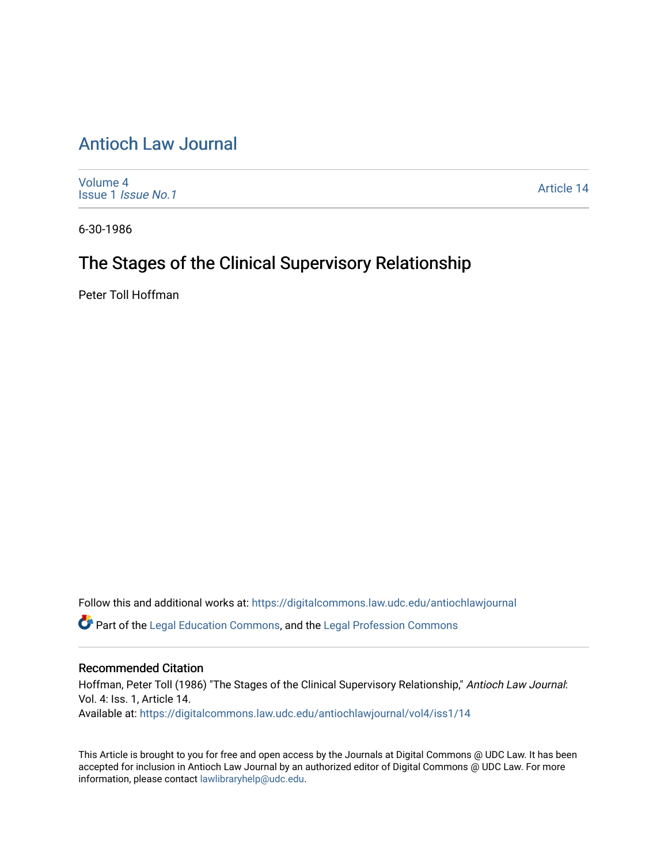# [Antioch Law Journal](https://digitalcommons.law.udc.edu/antiochlawjournal)

[Volume 4](https://digitalcommons.law.udc.edu/antiochlawjournal/vol4) [Issue 1](https://digitalcommons.law.udc.edu/antiochlawjournal/vol4/iss1) Issue No.1

[Article 14](https://digitalcommons.law.udc.edu/antiochlawjournal/vol4/iss1/14) 

6-30-1986

# The Stages of the Clinical Supervisory Relationship

Peter Toll Hoffman

Follow this and additional works at: [https://digitalcommons.law.udc.edu/antiochlawjournal](https://digitalcommons.law.udc.edu/antiochlawjournal?utm_source=digitalcommons.law.udc.edu%2Fantiochlawjournal%2Fvol4%2Fiss1%2F14&utm_medium=PDF&utm_campaign=PDFCoverPages)  Part of the [Legal Education Commons,](http://network.bepress.com/hgg/discipline/857?utm_source=digitalcommons.law.udc.edu%2Fantiochlawjournal%2Fvol4%2Fiss1%2F14&utm_medium=PDF&utm_campaign=PDFCoverPages) and the [Legal Profession Commons](http://network.bepress.com/hgg/discipline/1075?utm_source=digitalcommons.law.udc.edu%2Fantiochlawjournal%2Fvol4%2Fiss1%2F14&utm_medium=PDF&utm_campaign=PDFCoverPages) 

## Recommended Citation

Hoffman, Peter Toll (1986) "The Stages of the Clinical Supervisory Relationship," Antioch Law Journal: Vol. 4: Iss. 1, Article 14. Available at: [https://digitalcommons.law.udc.edu/antiochlawjournal/vol4/iss1/14](https://digitalcommons.law.udc.edu/antiochlawjournal/vol4/iss1/14?utm_source=digitalcommons.law.udc.edu%2Fantiochlawjournal%2Fvol4%2Fiss1%2F14&utm_medium=PDF&utm_campaign=PDFCoverPages) 

This Article is brought to you for free and open access by the Journals at Digital Commons @ UDC Law. It has been accepted for inclusion in Antioch Law Journal by an authorized editor of Digital Commons @ UDC Law. For more information, please contact [lawlibraryhelp@udc.edu.](mailto:lawlibraryhelp@udc.edu)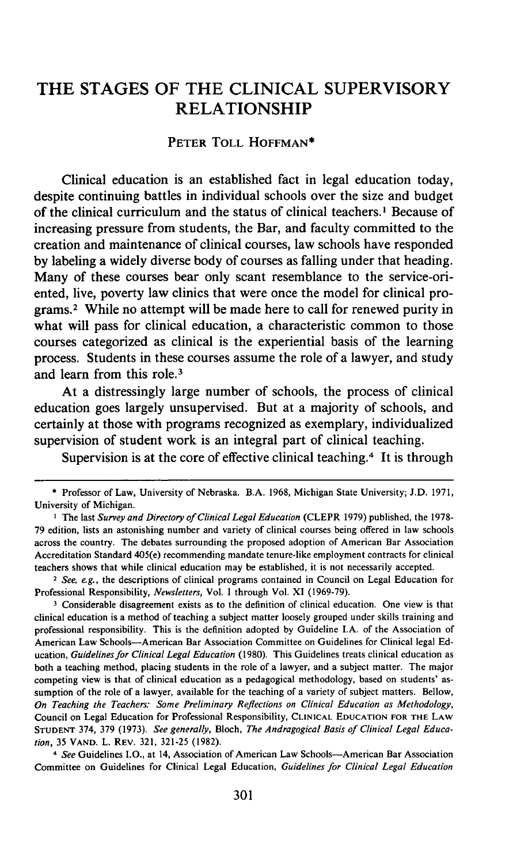# THE **STAGES** OF THE CLINICAL SUPERVISORY RELATIONSHIP

### PETER TOLL **HOFFMAN\***

Clinical education is an established fact in legal education today, despite continuing battles in individual schools over the size and budget of the clinical curriculum and the status of clinical teachers.' Because of increasing pressure from students, the Bar, and faculty committed to the creation and maintenance of clinical courses, law schools have responded **by** labeling a widely diverse body of courses as falling under that heading. Many of these courses bear only scant resemblance to the service-oriented, live, poverty law clinics that were once the model for clinical programs.<sup>2</sup> While no attempt will be made here to call for renewed purity in what will pass for clinical education, a characteristic common to those courses categorized as clinical is the experiential basis of the learning process. Students in these courses assume the role of a lawyer, and study and learn from this role.<sup>3</sup>

At a distressingly large number of schools, the process of clinical education goes largely unsupervised. But at a majority of schools, and certainly at those with programs recognized as exemplary, individualized supervision of student work is an integral part of clinical teaching.

Supervision is at the core of effective clinical teaching.<sup>4</sup> It is through

**2** *See, e.g.,* the descriptions of clinical programs contained in Council on Legal Education for Professional Responsibility, *Newsletters,* Vol. I through Vol. XI (1969-79).

**3** Considerable disagreement exists as to the definition of clinical education. One view is that clinical education is a method of teaching a subject matter loosely grouped under skills training and professional responsibility. This is the definition adopted by Guideline I.A. of the Association of American Law Schools-American Bar Association Committee on Guidelines for Clinical legal Education, *Guidelines for Clinical Legal Education* (1980). This Guidelines treats clinical education as both a teaching method, placing students in the role of a lawyer, and a subject matter. The major competing view is that of clinical education as a pedagogical methodology, based on students' assumption of the role of a lawyer, available for the teaching of a variety of subject matters. Bellow, *On Teaching the Teachers: Some Preliminary Reflections on Clinical Education as Methodology,* Council on Legal Education for Professional Responsibility, **CLINICAL EDUCATION** FOR THE LAW **STUDENT** 374, 379 (1973). *See generally,* Bloch, *The Andragogical Basis of Clinical Legal Education,* 35 **VAND.** L. REV. **321,** 321-25 (1982).

*4* See Guidelines **1.0.,** at 14, Association of American Law Schools-American Bar Association Committee on Guidelines for Clinical Legal Education, *Guidelines for Clinical Legal Education*

**<sup>\*</sup>** Professor of Law, University of Nebraska. B.A. **1968,** Michigan State University; J.D. 1971, University of Michigan.

**I** The last Survey *and Directory of ClinicalLegal Education* (CLEPR 1979) published, the **1978-** 79 edition, lists an astonishing number and variety of clinical courses being offered in law schools across the country. The debates surrounding the proposed adoption of American Bar Association Accreditation Standard 405(e) recommending mandate tenure-like employment contracts for clinical teachers shows that while clinical education may be established, it is not necessarily accepted.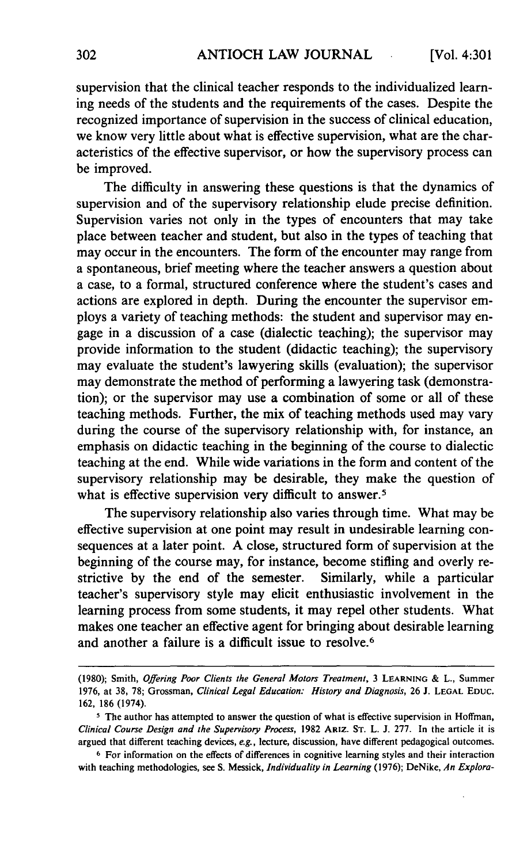[Vol. 4:301

supervision that the clinical teacher responds to the individualized learning needs of the students and the requirements of the cases. Despite the recognized importance of supervision in the success of clinical education, we know very little about what is effective supervision, what are the characteristics of the effective supervisor, or how the supervisory process can be improved.

The difficulty in answering these questions is that the dynamics of supervision and of the supervisory relationship elude precise definition. Supervision varies not only in the types of encounters that may take place between teacher and student, but also in the types of teaching that may occur in the encounters. The form of the encounter may range from a spontaneous, brief meeting where the teacher answers a question about a case, to a formal, structured conference where the student's cases and actions are explored in depth. During the encounter the supervisor employs a variety of teaching methods: the student and supervisor may engage in a discussion of a case (dialectic teaching); the supervisor may provide information to the student (didactic teaching); the supervisory may evaluate the student's lawyering skills (evaluation); the supervisor may demonstrate the method of performing a lawyering task (demonstration); or the supervisor may use a combination of some or all of these teaching methods. Further, the mix of teaching methods used may vary during the course of the supervisory relationship with, for instance, an emphasis on didactic teaching in the beginning of the course to dialectic teaching at the end. While wide variations in the form and content of the supervisory relationship may be desirable, they make the question of what is effective supervision very difficult to answer.<sup>5</sup>

The supervisory relationship also varies through time. What may be effective supervision at one point may result in undesirable learning consequences at a later point. A close, structured form of supervision at the beginning of the course may, for instance, become stifling and overly restrictive by the end of the semester. Similarly, while a particular teacher's supervisory style may elicit enthusiastic involvement in the learning process from some students, it may repel other students. What makes one teacher an effective agent for bringing about desirable learning and another a failure is a difficult issue to resolve.<sup>6</sup>

<sup>(1980);</sup> Smith, Offering Poor Clients the General *Motors Treatment,* 3 **LEARNING** & L., Summer 1976, at 38, 78; Grossman, *Clinical Legal Education: History and Diagnosis,* 26 **J. LEGAL EDUC.** 162, 186 (1974).

**<sup>5</sup>** The author has attempted to answer the question of what is effective supervision in Hoffman, *Clinical Course Design and the Supervisory Process,* 1982 ARIZ. ST. L. J. 277. In the article it is argued that different teaching devices, *e.g.,* lecture, discussion, have different pedagogical outcomes.

**<sup>6</sup>** For information on the effects of differences in cognitive learning styles and their interaction with teaching methodologies, see S. Messick, *Individuality in Learning* (1976); DeNike, *An Explora-*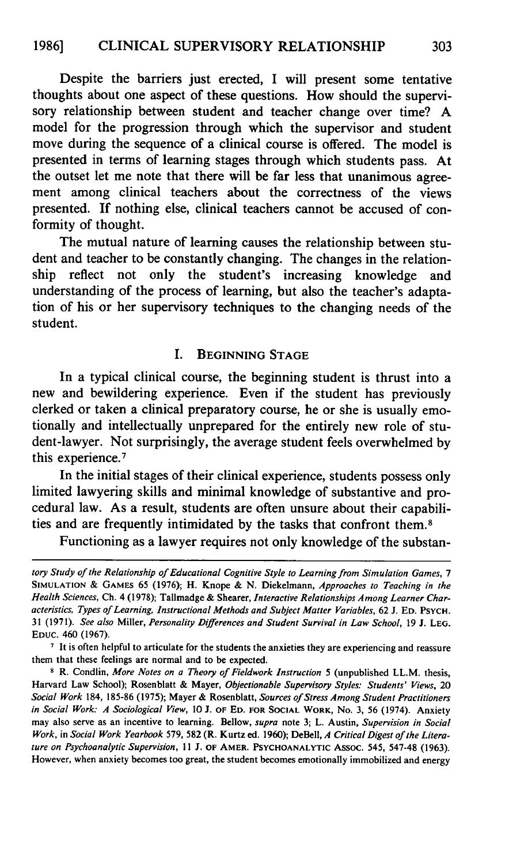Despite the barriers just erected, I will present some tentative thoughts about one aspect of these questions. How should the supervisory relationship between student and teacher change over time? A model for the progression through which the supervisor and student move during the sequence of a clinical course is offered. The model is presented in terms of learning stages through which students pass. At the outset let me note that there will be far less that unanimous agreement among clinical teachers about the correctness of the views presented. If nothing else, clinical teachers cannot be accused of conformity of thought.

The mutual nature of learning causes the relationship between student and teacher to be constantly changing. The changes in the relationship reflect not only the student's increasing knowledge and understanding of the process of learning, but also the teacher's adaptation of his or her supervisory techniques to the changing needs of the student.

#### I. **BEGINNING STAGE**

In a typical clinical course, the beginning student is thrust into a new and bewildering experience. Even if the student has previously clerked or taken a clinical preparatory course, he or she is usually emotionally and intellectually unprepared for the entirely new role of student-lawyer. Not surprisingly, the average student feels overwhelmed by this experience.<sup>7</sup>

In the initial stages of their clinical experience, students possess only limited lawyering skills and minimal knowledge of substantive and procedural law. As a result, students are often unsure about their capabilities and are frequently intimidated by the tasks that confront them.8

Functioning as a lawyer requires not only knowledge of the substan-

*tory* Study *of the Relationship of Educational Cognitive Style to Learning from Simulation Games, 7* **SIMULATION & GAMES** 65 **(1976);** H. Knope **& N.** Diekelmann, *Approaches to Teaching in the Health Sciences,* **Ch.** 4 **(1978);** Tallmadge **&** Shearer, *Interactive Relationships Among Learner Characteristics, Types of Learning, Instructional Methods and Subject Matter Variables,* **62 J. ED. PSYCH. 31 (1971).** *See also* Miller, *Personality Differences and Student Survival in Law School,* **19 J. LEG.** EDUC. 460 **(1967).**

**<sup>7</sup>**It is often helpful to articulate for the students the anxieties they are experiencing and reassure them that these feelings are normal and to be expected.

**<sup>8</sup>** R. Condlin, *More Notes on a Theory of Fieldwork Instruction* **5** (unpublished LL.M. thesis, Harvard Law School); Rosenblatt **&** Mayer, *Objectionable Supervisory Styles: Students' Views,* 20 *Social Work* 184, **185-86 (1975);** Mayer **&** Rosenblatt, *Sources of Stress Among Student Practitioners in Social Work: A Sociological View,* **10 J.** OF **ED. FOR SOCIAL WORK,** No. **3, 56** (1974). Anxiety may also serve as an incentive to learning. Bellow, *supra* note **3;** L. Austin, *Supervision in Social* Work, in *Social Work Yearbook* **579,** 582 (R. Kurtz ed. 1960); DeBell, *A Critical Digest of the Literature on Psychoanalytic Supervision, II* **J.** OF AMER. PSYCHOANALYTIC Assoc. 545, 547-48 (1963). However, when anxiety becomes too great, the student becomes emotionally immobilized and energy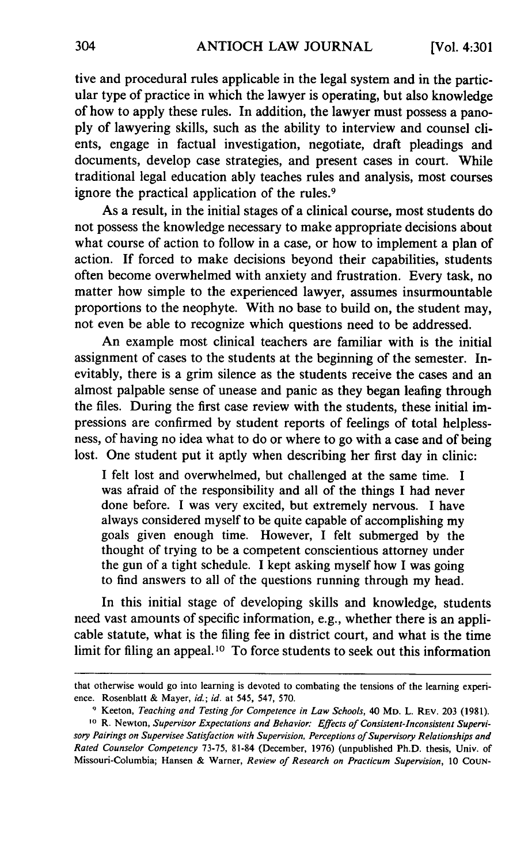tive and procedural rules applicable in the legal system and in the particular type of practice in which the lawyer is operating, but also knowledge of how to apply these rules. In addition, the lawyer must possess a panoply of lawyering skills, such as the ability to interview and counsel clients, engage in factual investigation, negotiate, draft pleadings and documents, develop case strategies, and present cases in court. While traditional legal education ably teaches rules and analysis, most courses ignore the practical application of the rules.<sup>9</sup>

As a result, in the initial stages of a clinical course, most students do not possess the knowledge necessary to make appropriate decisions about what course of action to follow in a case, or how to implement a plan of action. If forced to make decisions beyond their capabilities, students often become overwhelmed with anxiety and frustration. Every task, no matter how simple to the experienced lawyer, assumes insurmountable proportions to the neophyte. With no base to build on, the student may, not even be able to recognize which questions need to be addressed.

An example most clinical teachers are familiar with is the initial assignment of cases to the students at the beginning of the semester. Inevitably, there is a grim silence as the students receive the cases and an almost palpable sense of unease and panic as they began leafing through the files. During the first case review with the students, these initial impressions are confirmed by student reports of feelings of total helplessness, of having no idea what to do or where to go with a case and of being lost. One student put it aptly when describing her first day in clinic:

I felt lost and overwhelmed, but challenged at the same time. I was afraid of the responsibility and all of the things I had never done before. I was very excited, but extremely nervous. I have always considered myself to be quite capable of accomplishing my goals given enough time. However, I felt submerged by the thought of trying to be a competent conscientious attorney under the gun of a tight schedule. I kept asking myself how I was going to find answers to all of the questions running through my head.

In this initial stage of developing skills and knowledge, students need vast amounts of specific information, e.g., whether there is an applicable statute, what is the filing fee in district court, and what is the time limit for filing an appeal. **10** To force students to seek out this information

that otherwise would go into learning is devoted to combating the tensions of the learning experience. Rosenblatt & Mayer, *id.; id.* at 545, 547, 570.

**<sup>9</sup>** Keeton, *Teaching and Testing for Competence in Law Schools, 40* MD. L. REV. 203 **(1981).**

**<sup>1</sup>o** R. Newton, *Supervisor Expectations and Behavior. Effects of Consistent-Inconsistent Supervisory Pairings on Supervisee Satisfaction with Supervision, Perceptions of Supervisory Relationships and Rated Counselor Competency* 73-75, 81-84 (December, 1976) (unpublished Ph.D. thesis, Univ. of Missouri-Columbia; Hansen & Warner, *Review of Research on Practicum Supervision,* <sup>10</sup>**COUN-**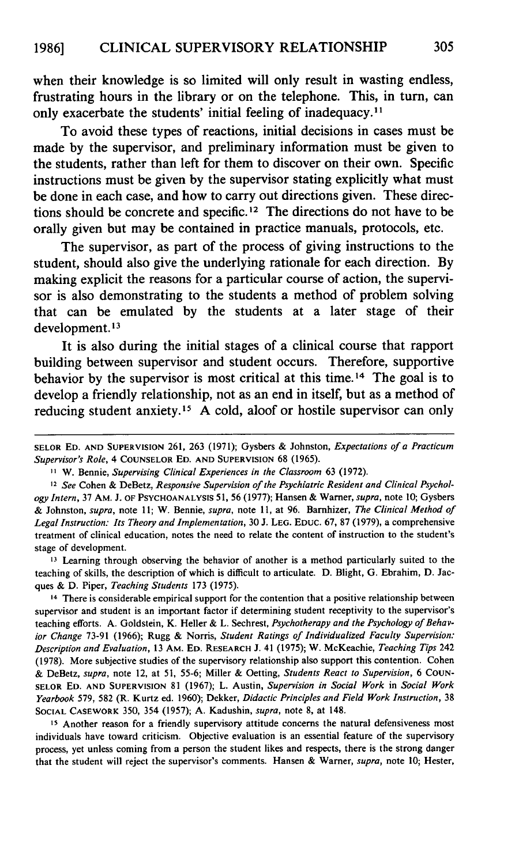when their knowledge is so limited will only result in wasting endless, frustrating hours in the library or on the telephone. This, in turn, can only exacerbate the students' initial feeling of inadequacy.<sup>11</sup>

To avoid these types of reactions, initial decisions in cases must be made **by** the supervisor, and preliminary information must be given to the students, rather than left for them to discover on their own. Specific instructions must be given **by** the supervisor stating explicitly what must be done in each case, and how to carry out directions given. These directions should be concrete and specific.12 The directions do not have to be orally given but may be contained in practice manuals, protocols, etc.

The supervisor, as part of the process of giving instructions to the student, should also give the underlying rationale for each direction. **By** making explicit the reasons for a particular course of action, the supervisor is also demonstrating to the students a method of problem solving that can be emulated **by** the students at a later stage of their development.<sup>13</sup>

It is also during the initial stages of a clinical course that rapport building between supervisor and student occurs. Therefore, supportive behavior **by** the supervisor is most critical at this time. 14 The goal is to develop a friendly relationship, not as an end in itself, but as a method of reducing student anxiety.<sup>15</sup> A cold, aloof or hostile supervisor can only

**13** Learning through observing the behavior of another is a method particularly suited to the teaching of skills, the description of which is difficult to articulate. D. Blight, G. Ebrahim, D. Jacques & D. Piper, *Teaching Students* 173 (1975).

**14** There is considerable empirical support for the contention that a positive relationship between supervisor and student is an important factor if determining student receptivity to the supervisor's teaching efforts. A. Goldstein, K. Heller & L. Sechrest, *Psychotherapy and the Psychology of Behavior Change* 73-91 (1966); Rugg & Norris, *Student Ratings of Individualized Faculty Supervision: Description and Evaluation,* 13 AM. **ED.** RESEARCH **J.** 41 (1975); W. McKeachie, *Teaching Tips* 242 (1978). More subjective studies of the supervisory relationship also support this contention. Cohen & DeBetz, *supra,* note 12, at 51, 55-6; Miller & Oetting, *Students React to Supervision,* 6 **COUN-**SELOR **ED. AND SUPERVISION** 81 (1967); L. Austin, *Supervision in Social Work* in *Social Work Yearbook* 579, 582 (R. Kurtz ed. 1960); Dekker, *Didactic Principles and Field Work Instruction,* <sup>38</sup> **SOCIAL** CASEWORK 350, 354 (1957); A. Kadushin, *supra,* note 8, at 148.

**15** Another reason for a friendly supervisory attitude concerns the natural defensiveness most individuals have toward criticism. Objective evaluation is an essential feature of the supervisory process, yet unless coming from a person the student likes and respects, there is the strong danger that the student will reject the supervisor's comments. Hansen & Warner, *supra,* note 10; Hester,

SELOR **ED. AND SUPERVISION** 261, 263 (1971); Gysbers & Johnston, *Expectations of a Practicum Supervisor's Role,* 4 COUNSELOR ED. AND SUPERVISION 68 **(1965).**

**<sup>11</sup>** W. Bennie, *Supervising Clinical* Experiences in the Classroom 63 (1972).

*<sup>12</sup>* See Cohen & DeBetz, *Responsive* Supervision *of the Psychiatric Resident and Clinical Psychology Intern,* 37 AM. J. OF PSYCHOANALYSIS 51, 56 (1977); Hansen & Warner, *supra,* note 10; Gysbers & Johnston, *supra,* note **11;** W. Bennie, *supra,* note 11, at 96. Barnhizer, *The Clinical Method of* Legal Instruction: Its Theory and Implementation, 30 J. LEG. EDUC. 67, 87 (1979), a comprehensive treatment of clinical education, notes the need to relate the content of instruction to the student's stage of development.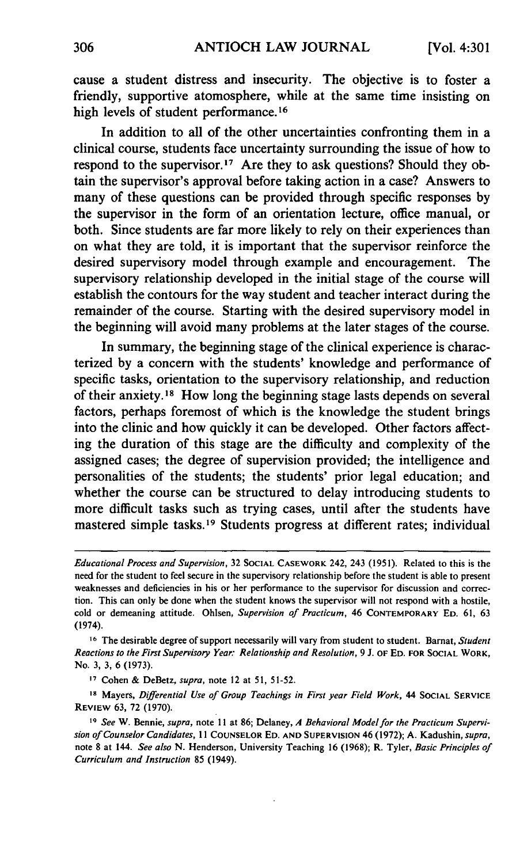cause a student distress and insecurity. The objective is to foster a friendly, supportive atomosphere, while at the same time insisting on high levels of student performance.<sup>16</sup>

In addition to all of the other uncertainties confronting them in a clinical course, students face uncertainty surrounding the issue of how to respond to the supervisor.<sup>17</sup> Are they to ask questions? Should they obtain the supervisor's approval before taking action in a case? Answers to many of these questions can be provided through specific responses by the supervisor in the form of an orientation lecture, office manual, or both. Since students are far more likely to rely on their experiences than on what they are told, it is important that the supervisor reinforce the desired supervisory model through example and encouragement. The supervisory relationship developed in the initial stage of the course will establish the contours for the way student and teacher interact during the remainder of the course. Starting with the desired supervisory model in the beginning will avoid many problems at the later stages of the course.

In summary, the beginning stage of the clinical experience is characterized by a concern with the students' knowledge and performance of specific tasks, orientation to the supervisory relationship, and reduction of their anxiety.<sup>18</sup> How long the beginning stage lasts depends on several factors, perhaps foremost of which is the knowledge the student brings into the clinic and how quickly it can be developed. Other factors affecting the duration of this stage are the difficulty and complexity of the assigned cases; the degree of supervision provided; the intelligence and personalities of the students; the students' prior legal education; and whether the course can be structured to delay introducing students to more difficult tasks such as trying cases, until after the students have mastered simple tasks.<sup>19</sup> Students progress at different rates; individual

**17** Cohen & DeBetz, *supra,* note 12 at 51, 51-52.

**18** Mayers, *Differential Use of Group Teachings in First year Field Work,* 44 **SOCIAL** SERVICE REVIEW 63, 72 (1970).

*Educational Process and Supervision,* 32 **SOCIAL** CASEWORK 242, 243 (1951). Related to this is the need for the student to feel secure in the supervisory relationship before the student is able to present weaknesses and deficiencies in his or her performance to the supervisor for discussion and correction. This can only be done when the student knows the supervisor will not respond with a hostile, cold or demeaning attitude. Ohlsen, *Supervision of Practicum,* 46 CONTEMPORARY ED. 61, 63 (1974).

**<sup>16</sup>** The desirable degree of support necessarily will vary from student to student. Barnat, *Student Reactions to the First Supervisory Year: Relationship and Resolution,* 9 J. oF **ED, FOR SOCIAL** WORK, No. 3, 3, 6 (1973).

**<sup>19</sup>** *See* W. Bennie, *supra,* note **II** at 86; Delaney, *A Behavioral Model for the Practicum Supervision of Counselor Candidates,* 11 **COUNSELOR ED. AND SUPERVISION** 46 (1972); A. Kadushin, *supra,* note 8 at 144. *See also* N. Henderson, University Teaching 16 (1968); R. Tyler, *Basic Principles of Curriculum and Instruction* 85 (1949).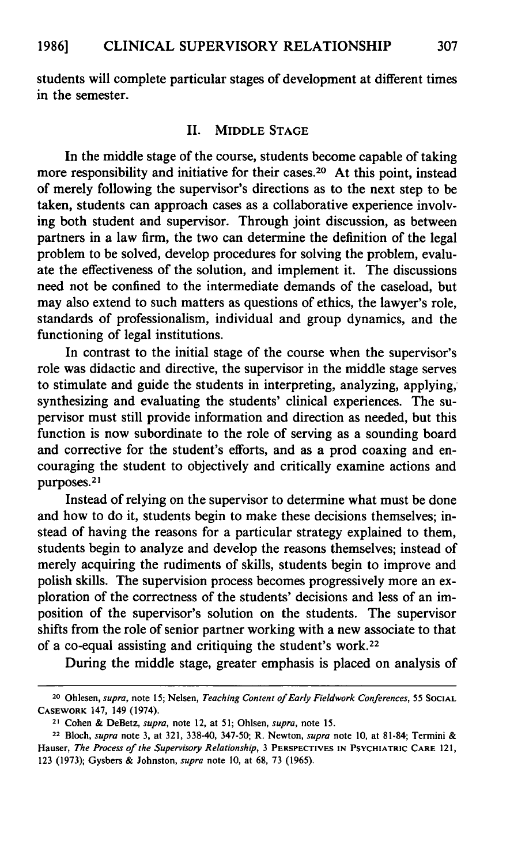students will complete particular stages of development at different times in the semester.

#### II. MIDDLE **STAGE**

In the middle stage of the course, students become capable of taking more responsibility and initiative for their cases.<sup>20</sup> At this point, instead of merely following the supervisor's directions as to the next step to be taken, students can approach cases as a collaborative experience involving both student and supervisor. Through joint discussion, as between partners in a law firm, the two can determine the definition of the legal problem to be solved, develop procedures for solving the problem, evaluate the effectiveness of the solution, and implement it. The discussions need not be confined to the intermediate demands of the caseload, but may also extend to such matters as questions of ethics, the lawyer's role, standards of professionalism, individual and group dynamics, and the functioning of legal institutions.

In contrast to the initial stage of the course when the supervisor's role was didactic and directive, the supervisor in the middle stage serves to stimulate and guide the students in interpreting, analyzing, applying, synthesizing and evaluating the students' clinical experiences. The supervisor must still provide information and direction as needed, but this function is now subordinate to the role of serving as a sounding board and corrective for the student's efforts, and as a prod coaxing and encouraging the student to objectively and critically examine actions and purposes.<sup>21</sup>

Instead of relying on the supervisor to determine what must be done and how to do it, students begin to make these decisions themselves; instead of having the reasons for a particular strategy explained to them, students begin to analyze and develop the reasons themselves; instead of merely acquiring the rudiments of skills, students begin to improve and polish skills. The supervision process becomes progressively more an exploration of the correctness of the students' decisions and less of an imposition of the supervisor's solution on the students. The supervisor shifts from the role of senior partner working with a new associate to that of a co-equal assisting and critiquing the student's work.<sup>22</sup>

During the middle stage, greater emphasis is placed on analysis of

<sup>&</sup>lt;sup>20</sup> Ohlesen, supra, note 15; Nelsen, Teaching Content of Early Fieldwork Conferences, 55 SOCIAL CASEWORK 147, 149 (1974).

**<sup>21</sup>** Cohen & DeBetz, supra, note 12, at 51; Ohlsen, supra, note 15.

<sup>22</sup> Bloch, supra note **3,** at 321, 338-40, 347-50; R. Newton, supra note 10, at 81-84; Termini & Hauser, The Process of the Supervisory Relationship, 3 **PERSPECTIVES IN PSYCHIATRIC CARE** 121, **123 (1973);** Gysbers **&** Johnston, supra note **10,** at **68, 73 (1965).**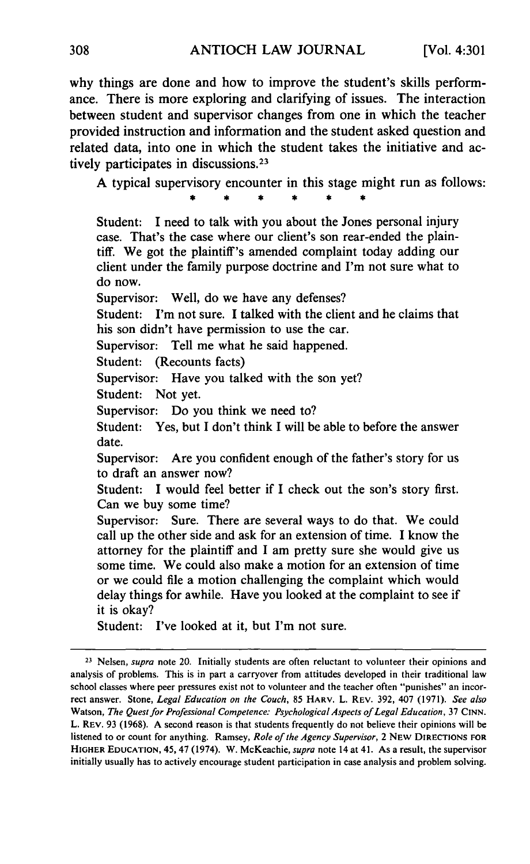why things are done and how to improve the student's skills performance. There is more exploring and clarifying of issues. The interaction between student and supervisor changes from one in which the teacher provided instruction and information and the student asked question and related data, into one in which the student takes the initiative and actively participates in discussions. <sup>23</sup>

A typical supervisory encounter in this stage might run as follows:

Student: I need to talk with you about the Jones personal injury case. That's the case where our client's son rear-ended the plaintiff. We got the plaintiff's amended complaint today adding our client under the family purpose doctrine and I'm not sure what to do now.

Supervisor: Well, do we have any defenses?

Student: I'm not sure. I talked with the client and he claims that his son didn't have permission to use the car.

Supervisor: Tell me what he said happened.

Student: (Recounts facts)

Supervisor: Have you talked with the son yet?

Student: Not yet.

Supervisor: Do you think we need to?

Student: Yes, but I don't think I will be able to before the answer date.

Supervisor: Are you confident enough of the father's story for us to draft an answer now?

Student: I would feel better if I check out the son's story first. Can we buy some time?

Supervisor: Sure. There are several ways to do that. We could call up the other side and ask for an extension of time. I know the attorney for the plaintiff and I am pretty sure she would give us some time. We could also make a motion for an extension of time or we could file a motion challenging the complaint which would delay things for awhile. Have you looked at the complaint to see if it is okay?

Student: I've looked at it, but I'm not sure.

**<sup>23</sup>** Nelsen, supra note 20. Initially students are often reluctant to volunteer their opinions and analysis of problems. This is in part a carryover from attitudes developed in their traditional law school classes where peer pressures exist not to volunteer and the teacher often "punishes" an incorrect answer. Stone, Legal Education on the Couch, 85 HARV. L. REV. 392, 407 (1971). See also Watson, The Quest for Professional Competence: Psychological Aspects of Legal Education, 37 CINN. L. REV. 93 (1968). A second reason is that students frequently do not believe their opinions will be listened to or count for anything. Ramsey, *Role of the Agency Supervisor,* 2 **NEW DIRECTIONS FOR** HIGHER **EDUCATION,** 45, 47 (1974). W. McKeachie, *supra* note 14 at 41. As a result, the supervisor initially usually has to actively encourage student participation in case analysis and problem solving.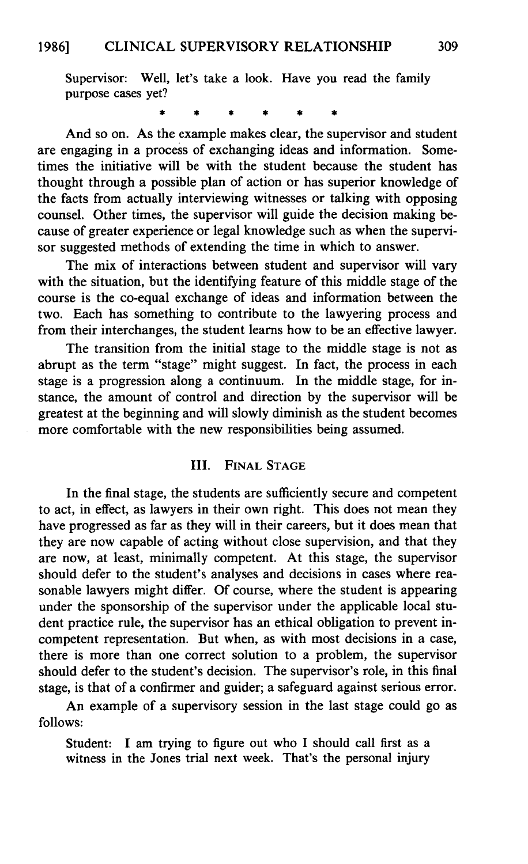Supervisor: Well, let's take a look. Have you read the family purpose cases yet?

And so on. As the example makes clear, the supervisor and student are engaging in a process of exchanging ideas and information. Sometimes the initiative will be with the student because the student has thought through a possible plan of action or has superior knowledge of the facts from actually interviewing witnesses or talking with opposing counsel. Other times, the supervisor will guide the decision making because of greater experience or legal knowledge such as when the supervisor suggested methods of extending the time in which to answer.

The mix of interactions between student and supervisor will vary with the situation, but the identifying feature of this middle stage of the course is the co-equal exchange of ideas and information between the two. Each has something to contribute to the lawyering process and from their interchanges, the student learns how to be an effective lawyer.

The transition from the initial stage to the middle stage is not as abrupt as the term "stage" might suggest. In fact, the process in each stage is a progression along a continuum. In the middle stage, for instance, the amount of control and direction by the supervisor will be greatest at the beginning and will slowly diminish as the student becomes more comfortable with the new responsibilities being assumed.

### III. FINAL **STAGE**

In the final stage, the students are sufficiently secure and competent to act, in effect, as lawyers in their own right. This does not mean they have progressed as far as they will in their careers, but it does mean that they are now capable of acting without close supervision, and that they are now, at least, minimally competent. At this stage, the supervisor should defer to the student's analyses and decisions in cases where reasonable lawyers might differ. Of course, where the student is appearing under the sponsorship of the supervisor under the applicable local student practice rule, the supervisor has an ethical obligation to prevent incompetent representation. But when, as with most decisions in a case, there is more than one correct solution to a problem, the supervisor should defer to the student's decision. The supervisor's role, in this final stage, is that of a confirmer and guider; a safeguard against serious error.

An example of a supervisory session in the last stage could go as follows:

Student: I am trying to figure out who I should call first as a witness in the Jones trial next week. That's the personal injury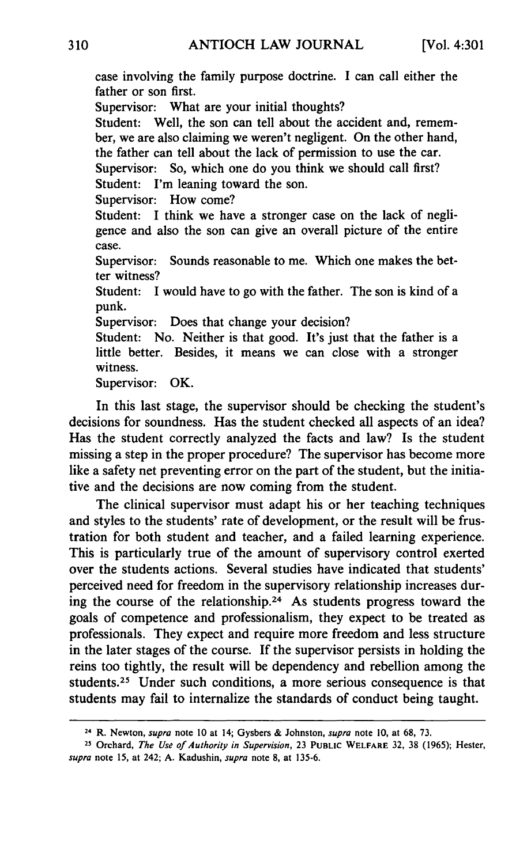case involving the family purpose doctrine. I can call either the father or son first.

Supervisor: What are your initial thoughts?

Student: Well, the son can tell about the accident and, remember, we are also claiming we weren't negligent. On the other hand, the father can tell about the lack of permission to use the car. Supervisor: So, which one do you think we should call first?

Student: I'm leaning toward the son.

Supervisor: How come?

Student: I think we have a stronger case on the lack of negligence and also the son can give an overall picture of the entire case.

Supervisor: Sounds reasonable to me. Which one makes the better witness?

Student: I would have to go with the father. The son is kind of a punk.

Supervisor: Does that change your decision?

Student: No. Neither is that good. It's just that the father is a little better. Besides, it means we can close with a stronger witness.

Supervisor: OK.

In this last stage, the supervisor should be checking the student's decisions for soundness. Has the student checked all aspects of an idea? Has the student correctly analyzed the facts and law? Is the student missing a step in the proper procedure? The supervisor has become more like a safety net preventing error on the part of the student, but the initiative and the decisions are now coming from the student.

The clinical supervisor must adapt his or her teaching techniques and styles to the students' rate of development, or the result will be frustration for both student and teacher, and a failed learning experience. This is particularly true of the amount of supervisory control exerted over the students actions. Several studies have indicated that students' perceived need for freedom in the supervisory relationship increases during the course of the relationship. 24 As students progress toward the goals of competence and professionalism, they expect to be treated as professionals. They expect and require more freedom and less structure in the later stages of the course. If the supervisor persists in holding the reins too tightly, the result will be dependency and rebellion among the students.25 Under such conditions, a more serious consequence is that students may fail to internalize the standards of conduct being taught.

**<sup>24</sup>** R. Newton, *supra* note **10** at 14; Gysbers **&** Johnston, *supra* note **10,** at **68, 73.**

**<sup>23</sup>** Orchard, The Use of Authority in Supervision, **23 PUBLIC WELFARE 32, 38 (1965);** Hester, *supra* note **15,** at 242; **A.** Kadushin, *supra* note **8,** at **135-6.**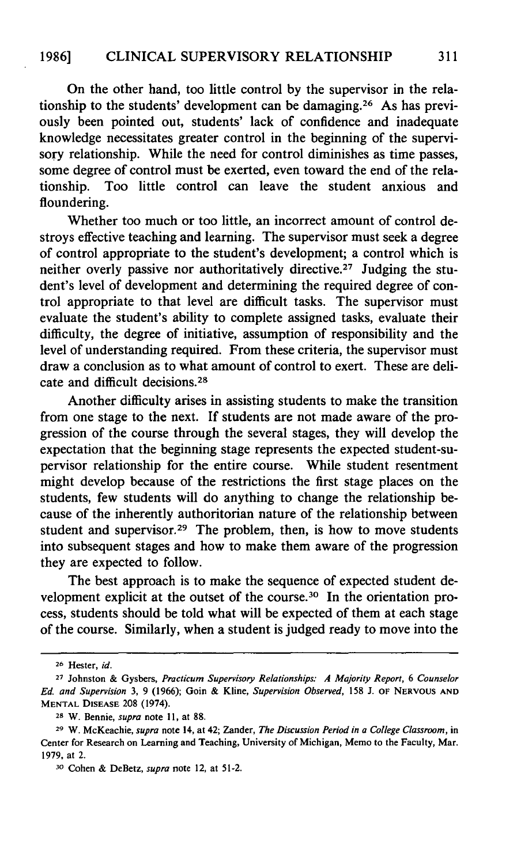On the other hand, too little control by the supervisor in the relationship to the students' development can be damaging.<sup>26</sup> As has previously been pointed out, students' lack of confidence and inadequate knowledge necessitates greater control in the beginning of the supervisory relationship. While the need for control diminishes as time passes, some degree of control must be exerted, even toward the end of the relationship. Too little control can leave the student anxious and floundering.

Whether too much or too little, an incorrect amount of control destroys effective teaching and learning. The supervisor must seek a degree of control appropriate to the student's development; a control which is neither overly passive nor authoritatively directive.<sup>27</sup> Judging the student's level of development and determining the required degree of control appropriate to that level are difficult tasks. The supervisor must evaluate the student's ability to complete assigned tasks, evaluate their difficulty, the degree of initiative, assumption of responsibility and the level of understanding required. From these criteria, the supervisor must draw a conclusion as to what amount of control to exert. These are delicate and difficult decisions. <sup>28</sup>

Another difficulty arises in assisting students to make the transition from one stage to the next. **If** students are not made aware of the progression of the course through the several stages, they will develop the expectation that the beginning stage represents the expected student-supervisor relationship for the entire course. While student resentment might develop because of the restrictions the first stage places on the students, few students will do anything to change the relationship because of the inherently authoritorian nature of the relationship between student and supervisor.29 The problem, then, is how to move students into subsequent stages and how to make them aware of the progression they are expected to follow.

The best approach is to make the sequence of expected student development explicit at the outset of the course.<sup>30</sup> In the orientation process, students should be told what will be expected of them at each stage of the course. Similarly, when a student is judged ready to move into the

**<sup>26</sup>**Hester, *id.*

**<sup>27</sup>** Johnston **&** Gysbers, *Practicum Supervisory Relationships. A Majority Report, 6 Counselor* **Ed.** and Supervision **3, 9 (1966);** Goin **&** Kline, Supervision Observed, **158 J. OF NERVOUS AND MENTAL DISEASE 208** (1974).

**<sup>28</sup>**W. Bennie, supra note **11,** at **88.**

**<sup>29</sup>**W. McKeachie, *supra* note 14, at 42; Zander, *The Discussion Period in a College Classroom,* in Center for Research on Learning and Teaching, University of Michigan, Memo to the Faculty, Mar. **1979,** at 2.

**<sup>30</sup>** Cohen **&** DeBetz, *supra* note 12, at **51-2.**